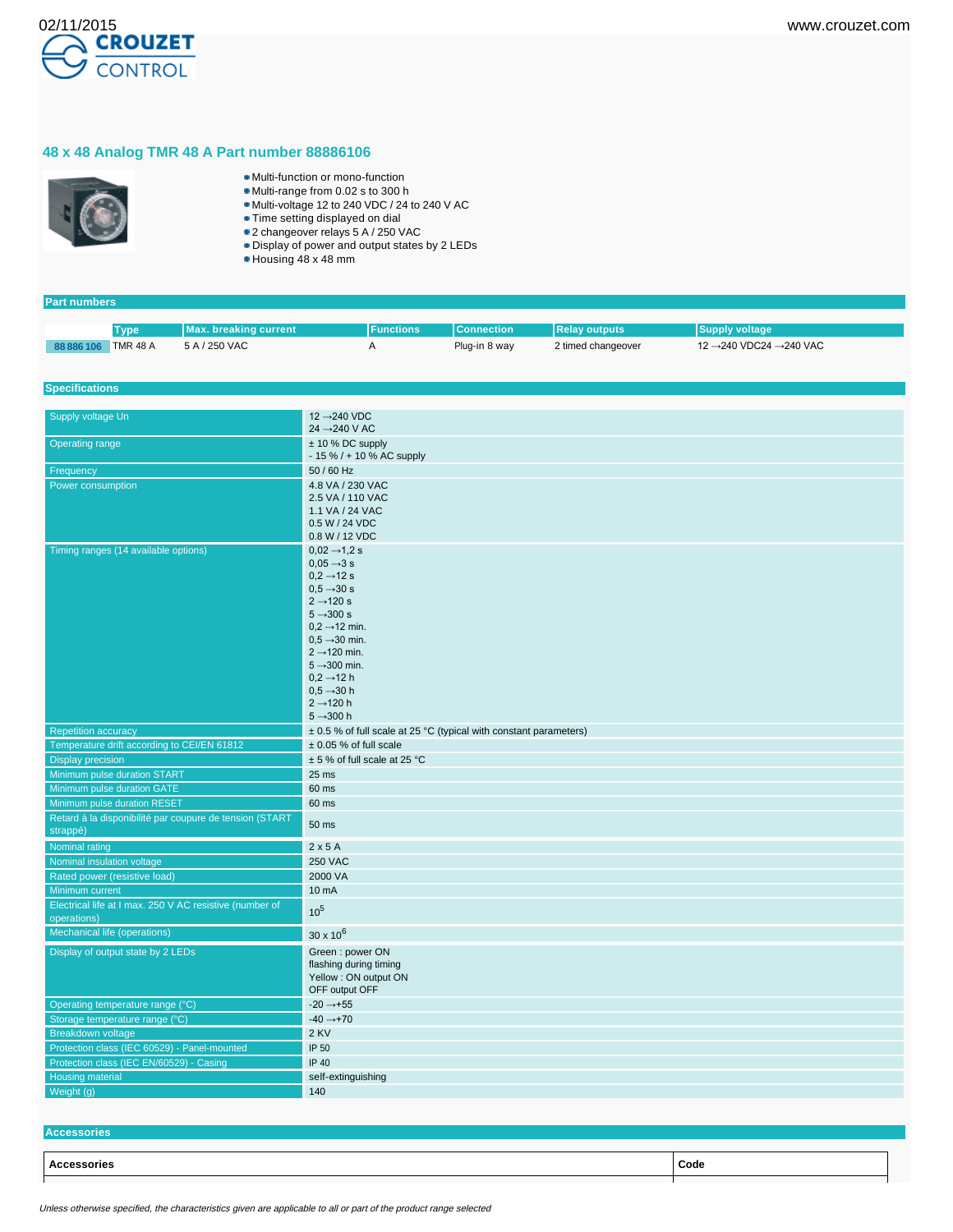

## **48 x 48 Analog TMR 48 A Part number 88886106**



- Multi-function or mono-function
- Multi-range from 0.02 s to 300 h
- Multi-voltage 12 to 240 VDC / 24 to 240 V AC
- Time setting displayed on dial
- 2 changeover relays 5 A / 250 VAC Display of power and output states by 2 LEDs
- 
- Housing 48 x 48 mm

| <b>Part numbers</b>                      |             |                                                         |                                                                       |                   |                      |                        |  |
|------------------------------------------|-------------|---------------------------------------------------------|-----------------------------------------------------------------------|-------------------|----------------------|------------------------|--|
|                                          |             |                                                         |                                                                       |                   |                      |                        |  |
|                                          | <b>Type</b> | <b>Max. breaking current</b>                            | <b>Functions</b>                                                      | <b>Connection</b> | <b>Relay outputs</b> | <b>Supply voltage</b>  |  |
| 88 886 106 TMR 48 A                      |             | 5 A / 250 VAC                                           | Α                                                                     | Plug-in 8 way     | 2 timed changeover   | 12 →240 VDC24 →240 VAC |  |
|                                          |             |                                                         |                                                                       |                   |                      |                        |  |
| <b>Specifications</b>                    |             |                                                         |                                                                       |                   |                      |                        |  |
|                                          |             |                                                         |                                                                       |                   |                      |                        |  |
| Supply voltage Un                        |             |                                                         | 12 → 240 VDC<br>$24 \rightarrow 240$ V AC                             |                   |                      |                        |  |
| <b>Operating range</b>                   |             |                                                         | $± 10 \%$ DC supply                                                   |                   |                      |                        |  |
|                                          |             |                                                         | - 15 % / + 10 % AC supply                                             |                   |                      |                        |  |
| Frequency                                |             | 50 / 60 Hz                                              |                                                                       |                   |                      |                        |  |
| Power consumption                        |             | 4.8 VA / 230 VAC                                        |                                                                       |                   |                      |                        |  |
|                                          |             |                                                         | 2.5 VA / 110 VAC                                                      |                   |                      |                        |  |
|                                          |             |                                                         | 1.1 VA / 24 VAC                                                       |                   |                      |                        |  |
|                                          |             |                                                         | 0.5 W / 24 VDC<br>0.8 W / 12 VDC                                      |                   |                      |                        |  |
|                                          |             |                                                         | $0.02 \rightarrow 1.2$ s                                              |                   |                      |                        |  |
| Timing ranges (14 available options)     |             |                                                         | $0.05 \rightarrow 3 s$                                                |                   |                      |                        |  |
|                                          |             |                                                         | $0,2 \rightarrow 12$ s                                                |                   |                      |                        |  |
|                                          |             |                                                         | $0.5 \rightarrow 30 s$                                                |                   |                      |                        |  |
|                                          |             |                                                         | $2 \rightarrow 120 s$                                                 |                   |                      |                        |  |
|                                          |             |                                                         | $5 \rightarrow 300 s$                                                 |                   |                      |                        |  |
|                                          |             |                                                         | $0.2 \rightarrow 12$ min.                                             |                   |                      |                        |  |
|                                          |             |                                                         | $0.5 \rightarrow 30$ min.                                             |                   |                      |                        |  |
|                                          |             |                                                         | $2 \rightarrow 120$ min.                                              |                   |                      |                        |  |
|                                          |             |                                                         | $5 \rightarrow 300$ min.<br>$0,2 \rightarrow 12$ h                    |                   |                      |                        |  |
|                                          |             |                                                         | $0.5 \rightarrow 30 h$                                                |                   |                      |                        |  |
|                                          |             |                                                         | $2 \rightarrow 120$ h                                                 |                   |                      |                        |  |
|                                          |             |                                                         | $5 - 300h$                                                            |                   |                      |                        |  |
| <b>Repetition accuracy</b>               |             |                                                         | $\pm$ 0.5 % of full scale at 25 °C (typical with constant parameters) |                   |                      |                        |  |
|                                          |             | Temperature drift according to CEI/EN 61812             | $\pm$ 0.05 % of full scale                                            |                   |                      |                        |  |
| <b>Display precision</b>                 |             |                                                         | ± 5 % of full scale at 25 °C                                          |                   |                      |                        |  |
| Minimum pulse duration START             |             |                                                         | 25 ms                                                                 |                   |                      |                        |  |
| Minimum pulse duration GATE              |             |                                                         | 60 ms                                                                 |                   |                      |                        |  |
| Minimum pulse duration RESET             |             |                                                         | 60 ms                                                                 |                   |                      |                        |  |
|                                          |             | Retard à la disponibilité par coupure de tension (START |                                                                       |                   |                      |                        |  |
| strappé)                                 |             |                                                         | 50 ms                                                                 |                   |                      |                        |  |
| Nominal rating                           |             |                                                         | 2x5A                                                                  |                   |                      |                        |  |
| Nominal insulation voltage               |             |                                                         | <b>250 VAC</b>                                                        |                   |                      |                        |  |
| Rated power (resistive load)             |             |                                                         | 2000 VA                                                               |                   |                      |                        |  |
| Minimum current                          |             |                                                         | 10 mA                                                                 |                   |                      |                        |  |
| operations)                              |             | Electrical life at I max. 250 V AC resistive (number of | 10 <sup>5</sup>                                                       |                   |                      |                        |  |
| Mechanical life (operations)             |             |                                                         | $30 \times 10^{6}$                                                    |                   |                      |                        |  |
| Display of output state by 2 LEDs        |             |                                                         | Green: power ON                                                       |                   |                      |                        |  |
|                                          |             |                                                         | flashing during timing                                                |                   |                      |                        |  |
|                                          |             |                                                         | Yellow : ON output ON                                                 |                   |                      |                        |  |
|                                          |             |                                                         | OFF output OFF                                                        |                   |                      |                        |  |
| Operating temperature range (°C)         |             |                                                         | $-20 \rightarrow +55$                                                 |                   |                      |                        |  |
| Storage temperature range (°C)           |             |                                                         | $-40 \rightarrow +70$                                                 |                   |                      |                        |  |
| <b>Breakdown voltage</b>                 |             |                                                         | 2 KV                                                                  |                   |                      |                        |  |
|                                          |             | Protection class (IEC 60529) - Panel-mounted            | IP 50                                                                 |                   |                      |                        |  |
| Protection class (IEC EN/60529) - Casing |             |                                                         | IP 40                                                                 |                   |                      |                        |  |
| Housing material                         |             |                                                         | self-extinguishing                                                    |                   |                      |                        |  |
| Weight $(g)$                             |             |                                                         | 140                                                                   |                   |                      |                        |  |

| - 11<br>ones       |      |
|--------------------|------|
|                    |      |
| <b>Accessories</b> | Code |
|                    |      |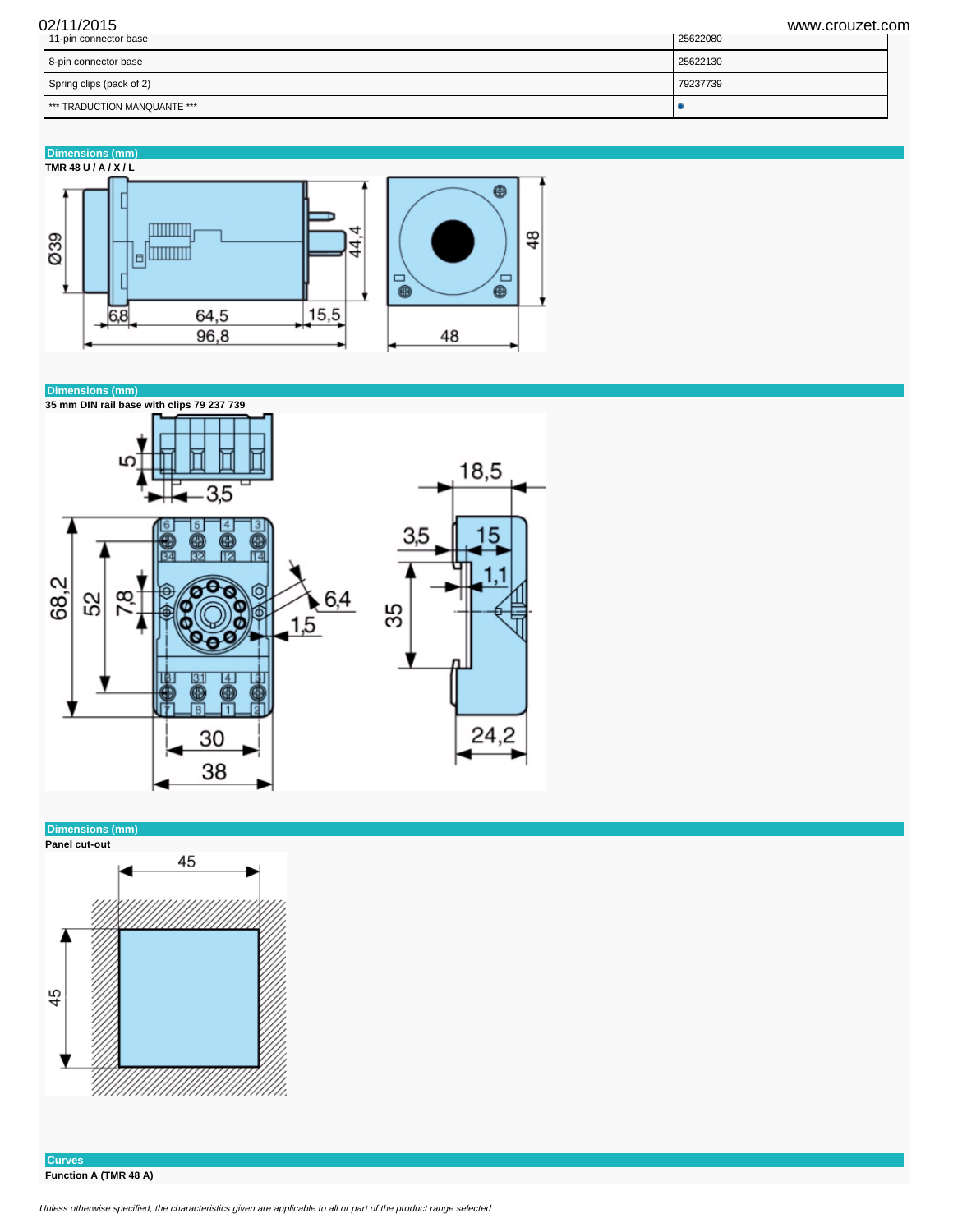| 02/11/2015<br>11-pin connector base | www.crouzet.com<br>25622080 |
|-------------------------------------|-----------------------------|
| 8-pin connector base                | 25622130                    |
| Spring clips (pack of 2)            | 79237739                    |
| I *** TRADUCTION MANQUANTE ***      |                             |









**Curves Function A (TMR 48 A)**